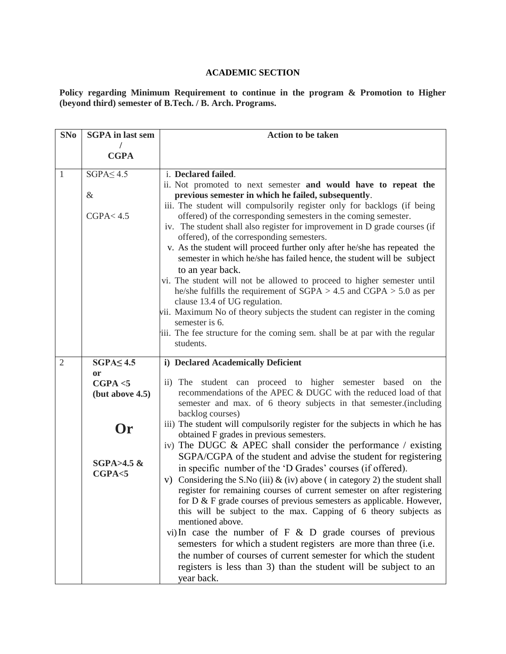## **ACADEMIC SECTION**

**Policy regarding Minimum Requirement to continue in the program & Promotion to Higher (beyond third) semester of B.Tech. / B. Arch. Programs.**

| <b>SNo</b>     | <b>SGPA</b> in last sem    | <b>Action to be taken</b>                                                                                                                                                                                                |
|----------------|----------------------------|--------------------------------------------------------------------------------------------------------------------------------------------------------------------------------------------------------------------------|
|                |                            |                                                                                                                                                                                                                          |
|                | <b>CGPA</b>                |                                                                                                                                                                                                                          |
| 1              | $SGPA \leq 4.5$            | i. Declared failed.                                                                                                                                                                                                      |
|                |                            | ii. Not promoted to next semester and would have to repeat the                                                                                                                                                           |
|                | $\&$                       | previous semester in which he failed, subsequently.                                                                                                                                                                      |
|                | CGPA < 4.5                 | iii. The student will compulsorily register only for backlogs (if being<br>offered) of the corresponding semesters in the coming semester.<br>iv. The student shall also register for improvement in D grade courses (if |
|                |                            | offered), of the corresponding semesters.                                                                                                                                                                                |
|                |                            | v. As the student will proceed further only after he/she has repeated the                                                                                                                                                |
|                |                            | semester in which he/she has failed hence, the student will be subject<br>to an year back.                                                                                                                               |
|                |                            | vi. The student will not be allowed to proceed to higher semester until                                                                                                                                                  |
|                |                            | he/she fulfills the requirement of $SGPA > 4.5$ and $CGPA > 5.0$ as per<br>clause 13.4 of UG regulation.                                                                                                                 |
|                |                            | vii. Maximum No of theory subjects the student can register in the coming<br>semester is 6.                                                                                                                              |
|                |                            | iii. The fee structure for the coming sem. shall be at par with the regular                                                                                                                                              |
|                |                            | students.                                                                                                                                                                                                                |
| $\overline{2}$ | $SGPA \leq 4.5$            | i) Declared Academically Deficient                                                                                                                                                                                       |
|                | <b>or</b>                  |                                                                                                                                                                                                                          |
|                | CGPA < 5                   | ii) The student can proceed to higher semester based on the                                                                                                                                                              |
|                | (but above 4.5)            | recommendations of the APEC & DUGC with the reduced load of that                                                                                                                                                         |
|                |                            | semester and max. of 6 theory subjects in that semester. (including<br>backlog courses)                                                                                                                                  |
|                |                            | iii) The student will compulsorily register for the subjects in which he has                                                                                                                                             |
|                | Or                         | obtained F grades in previous semesters.                                                                                                                                                                                 |
|                |                            | iv) The DUGC $\&$ APEC shall consider the performance / existing                                                                                                                                                         |
|                | $SGPA > 4.5$ &<br>CGPA < 5 | SGPA/CGPA of the student and advise the student for registering                                                                                                                                                          |
|                |                            | in specific number of the 'D Grades' courses (if offered).                                                                                                                                                               |
|                |                            | Considering the S.No (iii) $\&$ (iv) above (in category 2) the student shall<br>V)<br>register for remaining courses of current semester on after registering                                                            |
|                |                            | for $D \& F$ grade courses of previous semesters as applicable. However,                                                                                                                                                 |
|                |                            | this will be subject to the max. Capping of 6 theory subjects as<br>mentioned above.                                                                                                                                     |
|                |                            | vi) In case the number of $F \& D$ grade courses of previous                                                                                                                                                             |
|                |                            | semesters for which a student registers are more than three (i.e.                                                                                                                                                        |
|                |                            | the number of courses of current semester for which the student                                                                                                                                                          |
|                |                            | registers is less than 3) than the student will be subject to an                                                                                                                                                         |
|                |                            | year back.                                                                                                                                                                                                               |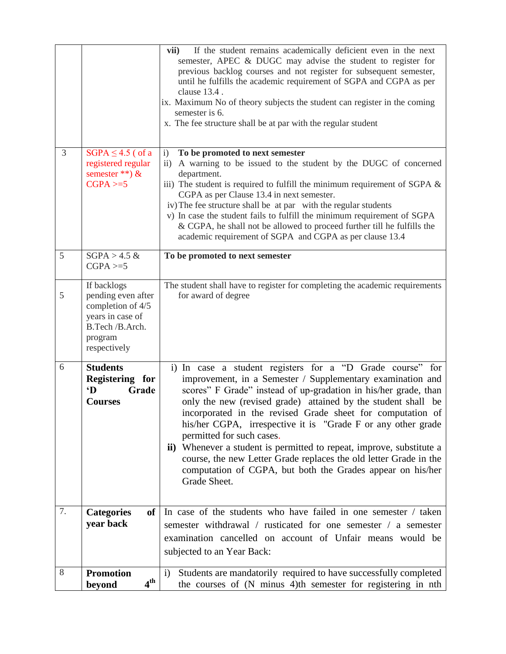|                |                                                                                                                          | If the student remains academically deficient even in the next<br>vii)<br>semester, APEC & DUGC may advise the student to register for<br>previous backlog courses and not register for subsequent semester,<br>until he fulfills the academic requirement of SGPA and CGPA as per<br>clause 13.4.<br>ix. Maximum No of theory subjects the student can register in the coming<br>semester is 6.<br>x. The fee structure shall be at par with the regular student                                                                                                                                                                                 |
|----------------|--------------------------------------------------------------------------------------------------------------------------|---------------------------------------------------------------------------------------------------------------------------------------------------------------------------------------------------------------------------------------------------------------------------------------------------------------------------------------------------------------------------------------------------------------------------------------------------------------------------------------------------------------------------------------------------------------------------------------------------------------------------------------------------|
| $\overline{3}$ | $SGPA \leq 4.5$ (of a<br>registered regular<br>semester **) $\&$<br>$CGPA \geq 5$                                        | To be promoted to next semester<br>$\mathbf{i}$<br>A warning to be issued to the student by the DUGC of concerned<br>$\rm ii)$<br>department.<br>iii) The student is required to fulfill the minimum requirement of SGPA $\&$<br>CGPA as per Clause 13.4 in next semester.<br>iv) The fee structure shall be at par with the regular students<br>v) In case the student fails to fulfill the minimum requirement of SGPA<br>& CGPA, he shall not be allowed to proceed further till he fulfills the<br>academic requirement of SGPA and CGPA as per clause 13.4                                                                                   |
| 5              | $SGPA > 4.5$ &<br>$CGPA \geq 5$                                                                                          | To be promoted to next semester                                                                                                                                                                                                                                                                                                                                                                                                                                                                                                                                                                                                                   |
| 5              | If backlogs<br>pending even after<br>completion of 4/5<br>years in case of<br>B.Tech /B.Arch.<br>program<br>respectively | The student shall have to register for completing the academic requirements<br>for award of degree                                                                                                                                                                                                                                                                                                                                                                                                                                                                                                                                                |
| 6              | <b>Students</b><br>Registering for<br>$\mathbf{D}$<br>Grade<br><b>Courses</b>                                            | i) In case a student registers for a "D Grade course" for<br>improvement, in a Semester / Supplementary examination and<br>scores" F Grade" instead of up-gradation in his/her grade, than<br>only the new (revised grade) attained by the student shall be<br>incorporated in the revised Grade sheet for computation of<br>his/her CGPA, irrespective it is "Grade F or any other grade<br>permitted for such cases.<br>ii) Whenever a student is permitted to repeat, improve, substitute a<br>course, the new Letter Grade replaces the old letter Grade in the<br>computation of CGPA, but both the Grades appear on his/her<br>Grade Sheet. |
| 7.             | <b>Categories</b><br><b>of</b><br>year back                                                                              | In case of the students who have failed in one semester / taken<br>semester withdrawal / rusticated for one semester / a semester<br>examination cancelled on account of Unfair means would be<br>subjected to an Year Back:                                                                                                                                                                                                                                                                                                                                                                                                                      |
| 8              | <b>Promotion</b><br>4 <sup>th</sup><br>beyond                                                                            | Students are mandatorily required to have successfully completed<br>i)<br>the courses of (N minus 4)th semester for registering in nth                                                                                                                                                                                                                                                                                                                                                                                                                                                                                                            |